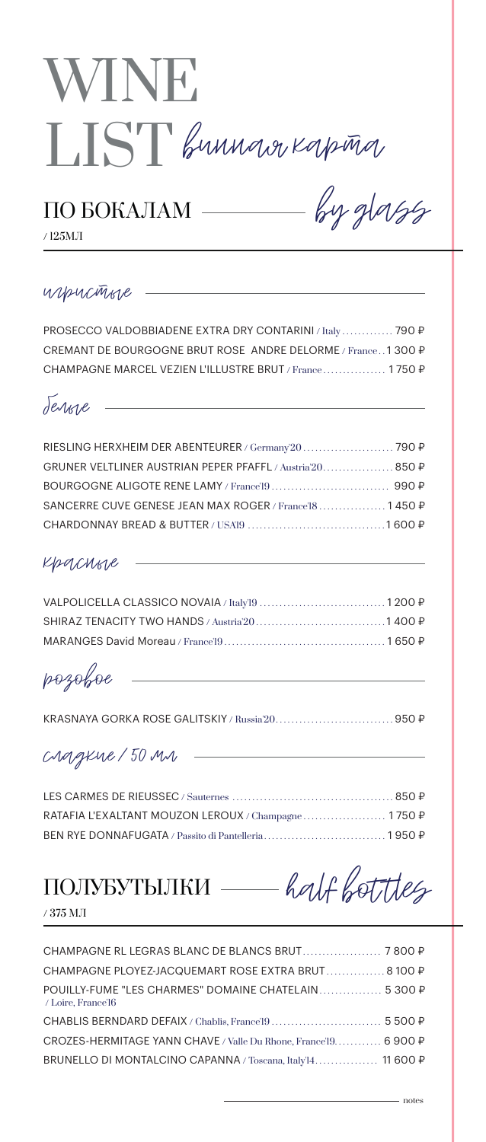

# ПО БОКАЛАМ ———— by glass

/ 125МЛ

### игристые

PROSECCO VALDOBBIADENE EXTRA DRY CONTARINI / Italy ............. 790 ₽ CREMANT DE BOURGOGNE BRUT ROSE ANDRE DELORME / France . . 1 300 ₽ CHAMPAGNE MARCEL VEZIEN L'ILLUSTRE BRUT / France ................ 1750 P

<u> 1980 - Johann Barn, mars an t-Amerikaansk politiker (</u>

белые

| SANCERRE CUVE GENESE JEAN MAX ROGER / France'l8 1450 P |  |
|--------------------------------------------------------|--|
|                                                        |  |

### красные

розовое

KRASNAYA GORKA ROSE GALITSKIY / Russia'20. . . . . . . . . . . . . . . . . . . . . . . . . . . . . . 950 ₽

<u> 1980 - Johann Barbara, martxa al</u>

сладкие / 50 мл

| RATAFIA L'EXALTANT MOUZON LEROUX / Champagne 1750 P |  |
|-----------------------------------------------------|--|
|                                                     |  |

ПОЛУБУТЫЛКИ — half bot tles

/ 375 МЛ

| CHAMPAGNE PLOYEZ-JACQUEMART ROSE EXTRA BRUT 8 100 P                        |  |
|----------------------------------------------------------------------------|--|
| POUILLY-FUME "LES CHARMES" DOMAINE CHATELAIN 5 300 P<br>/ Loire, France'l6 |  |
|                                                                            |  |
| CROZES-HERMITAGE YANN CHAVE / Valle Du Rhone, France'19 6 900 P            |  |
| BRUNELLO DI MONTALCINO CAPANNA / Toscana, Italy <sup>14</sup> 11 600 P     |  |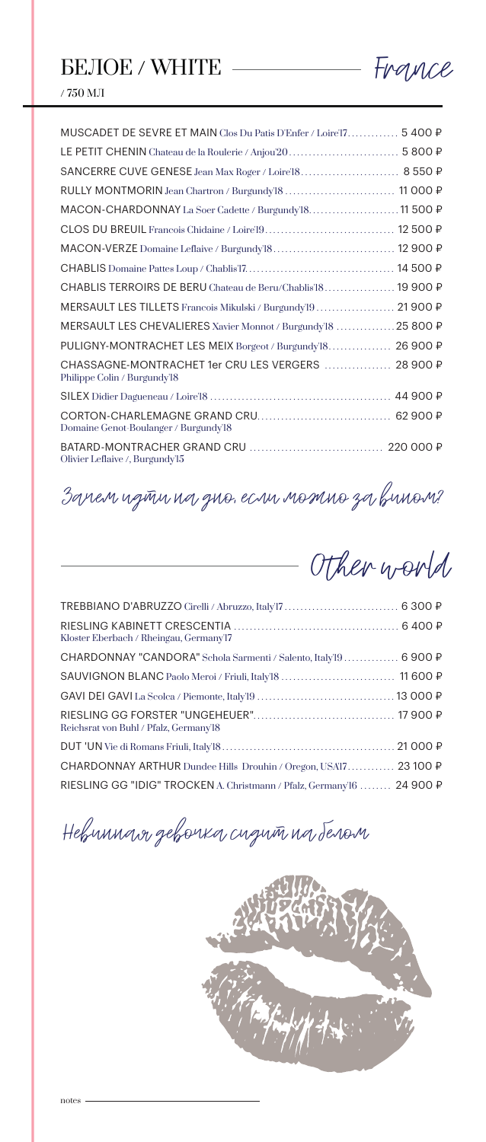

 $/$  750 MJI

| MUSCADET DE SEVRE ET MAIN Clos Du Patis D'Enfer / Loire'17 5 400 P                 |  |
|------------------------------------------------------------------------------------|--|
|                                                                                    |  |
|                                                                                    |  |
|                                                                                    |  |
| MACON-CHARDONNAY La Soer Cadette / Burgundy'18 11 500 P                            |  |
|                                                                                    |  |
|                                                                                    |  |
|                                                                                    |  |
| CHABLIS TERROIRS DE BERU Chateau de Beru/Chablis'l8 19 900 ₽                       |  |
| MERSAULT LES TILLETS Francois Mikulski / Burgundy'19 21 900 P                      |  |
| MERSAULT LES CHEVALIERES Xavier Monnot / Burgundy'18 25 800 P                      |  |
| PULIGNY-MONTRACHET LES MEIX Borgeot / Burgundy'l8 26 900 P                         |  |
| CHASSAGNE-MONTRACHET 1er CRU LES VERGERS  28 900 P<br>Philippe Colin / Burgundy'l8 |  |
|                                                                                    |  |
| Domaine Genot-Boulanger / Burgundy'l8                                              |  |
| Olivier Leflaive /, Burgundy'l5                                                    |  |

## Зачем идти на дно, если можно за вином?

Other world

| Kloster Eberbach / Rheingau, Germany'l7                                     |  |
|-----------------------------------------------------------------------------|--|
| CHARDONNAY "CANDORA" Schola Sarmenti / Salento, Italy <sup>19</sup> 6 900 ₽ |  |
|                                                                             |  |
|                                                                             |  |
| Reichsrat von Buhl / Pfalz, Germany'l8                                      |  |
|                                                                             |  |
| CHARDONNAY ARTHUR Dundee Hills Drouhin / Oregon, USA17 23 100 P             |  |
| RIESLING GG "IDIG" TROCKEN A. Christmann / Pfalz, Germany'16  24 900 P      |  |

Невинная девочка сидит на белом

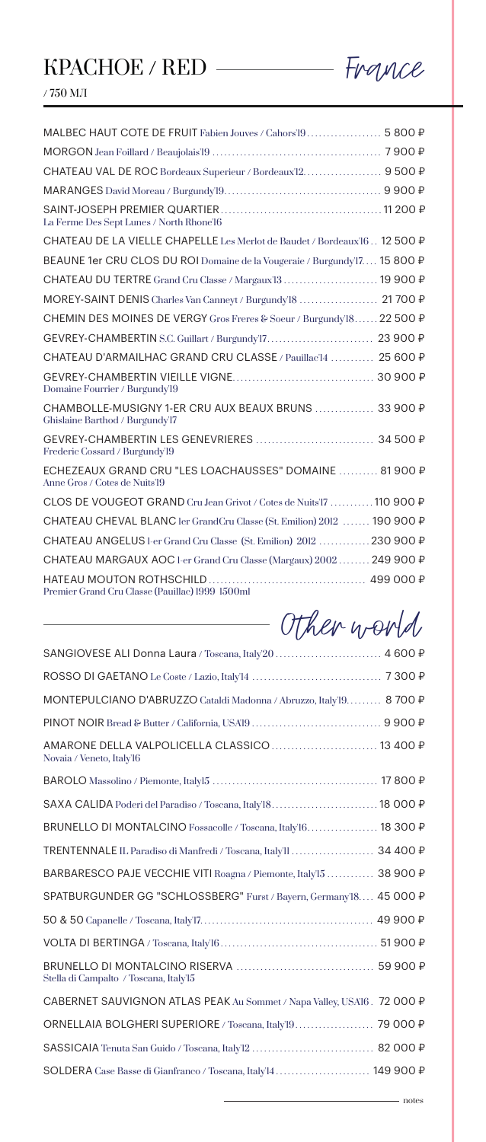# $KPACHOE / RED$  France



 $/$  750 MJI  $\,$ 

| MALBEC HAUT COTE DE FRUIT Fabien Jouves / Cahors'19 5 800 P                              |  |
|------------------------------------------------------------------------------------------|--|
|                                                                                          |  |
| CHATEAU VAL DE ROC Bordeaux Superieur / Bordeaux'l2 9 500 P                              |  |
|                                                                                          |  |
| La Ferme Des Sept Lunes / North Rhone'l6                                                 |  |
| CHATEAU DE LA VIELLE CHAPELLE Les Merlot de Baudet / Bordeaux'l6 12 500 P                |  |
| BEAUNE 1er CRU CLOS DU ROI Domaine de la Vougeraie / Burgundy 17 15 800 P                |  |
| CHATEAU DU TERTRE Grand Cru Classe / Margaux 13  19 900 P                                |  |
| MOREY-SAINT DENIS Charles Van Canneyt / Burgundy'18  21 700 P                            |  |
| CHEMIN DES MOINES DE VERGY Gros Freres & Soeur / Burgundy'l8 22 500 ₽                    |  |
|                                                                                          |  |
| CHATEAU D'ARMAILHAC GRAND CRU CLASSE / Pauillac'l4  25 600 P                             |  |
| Domaine Fourrier / Burgundy'l9                                                           |  |
| CHAMBOLLE-MUSIGNY 1-ER CRU AUX BEAUX BRUNS  33 900 P<br>Ghislaine Barthod / Burgundy'l7  |  |
| Frederic Cossard / Burgundy'l9                                                           |  |
| ECHEZEAUX GRAND CRU "LES LOACHAUSSES" DOMAINE  81 900 P<br>Anne Gros / Cotes de Nuits'19 |  |
| CLOS DE VOUGEOT GRAND Cru Jean Grivot / Cotes de Nuits'17  110 900 P                     |  |
| CHATEAU CHEVAL BLANC ler GrandCru Classe (St. Emilion) 2012  190 900 P                   |  |
| CHATEAU ANGELUS 1-er Grand Cru Classe (St. Emilion) 2012  230 900 P                      |  |
| CHATEAU MARGAUX AOC 1-er Grand Cru Classe (Margaux) 2002 249 900 P                       |  |
| Premier Grand Cru Classe (Pauillac) 1999 1500ml                                          |  |

| Other world |  |
|-------------|--|
|             |  |

| SANGIOVESE ALI Donna Laura / Toscana, Italy 20  4 600 P                               |  |
|---------------------------------------------------------------------------------------|--|
|                                                                                       |  |
| MONTEPULCIANO D'ABRUZZO Cataldi Madonna / Abruzzo, Italy19 8 700 P                    |  |
|                                                                                       |  |
| AMARONE DELLA VALPOLICELLA CLASSICO  13 400 P<br>Novaia / Veneto, Italy <sup>16</sup> |  |
|                                                                                       |  |
| SAXA CALIDA Poderi del Paradiso / Toscana, Italy <sup>18</sup> 18 000 P               |  |
| BRUNELLO DI MONTALCINO Fossacolle / Toscana, Italy'16 18 300 P                        |  |
| TRENTENNALE IL Paradiso di Manfredi / Toscana, Italy'll  34 400 P                     |  |
| BARBARESCO PAJE VECCHIE VITI Roagna / Piemonte, Italy'15  38 900 P                    |  |
| SPATBURGUNDER GG "SCHLOSSBERG" Furst / Bayern, Germany18 45 000 P                     |  |
|                                                                                       |  |
|                                                                                       |  |
| Stella di Campalto / Toscana, Italy'15                                                |  |
| CABERNET SAUVIGNON ATLAS PEAK Au Sommet / Napa Valley, USA'16. 72 000 P               |  |
| ORNELLAIA BOLGHERI SUPERIORE / Toscana, Italy'19 79 000 P                             |  |
|                                                                                       |  |
| SOLDERA Case Basse di Gianfranco / Toscana, Italy <sup>14</sup> 149 900 P             |  |
|                                                                                       |  |